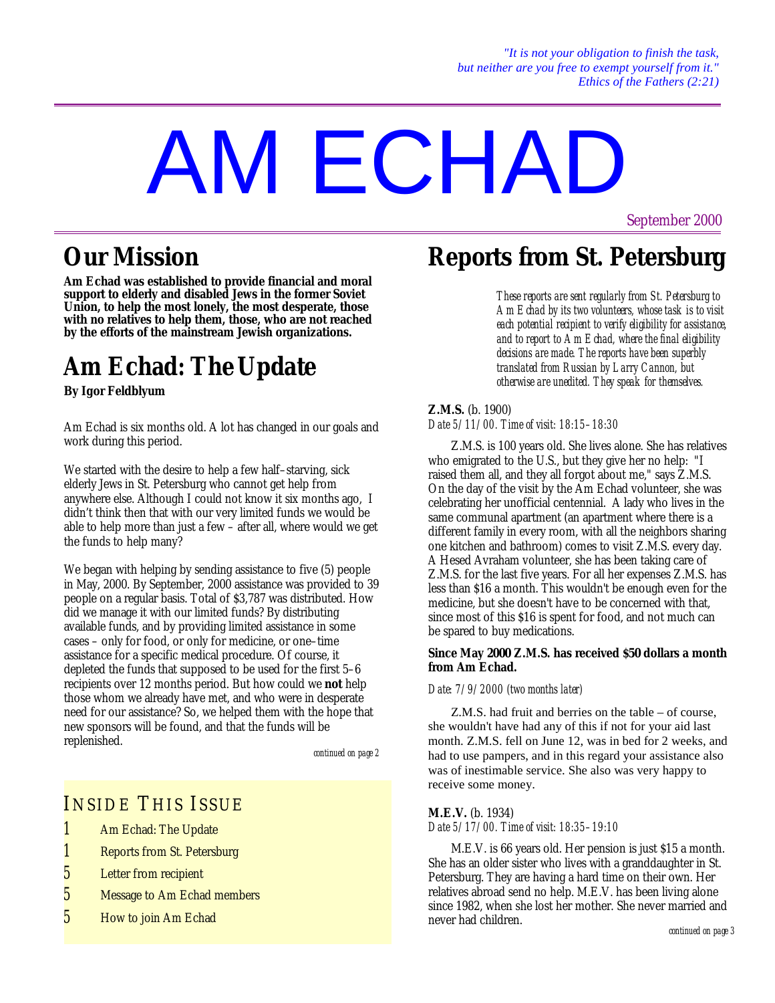# AM ECHAD

# **Our Mission**

**Am Echad was established to provide financial and moral support to elderly and disabled Jews in the former Soviet Union, to help the most lonely, the most desperate, those with no relatives to help them, those, who are not reached by the efforts of the mainstream Jewish organizations.**

# **Am Echad: TheUpdate**

**By Igor Feldblyum**

Am Echad is six months old. A lot has changed in our goals and work during this period.

We started with the desire to help a few half–starving, sick elderly Jews in St. Petersburg who cannot get help from anywhere else. Although I could not know it six months ago, I didn't think then that with our very limited funds we would be able to help more than just a few – after all, where would we get the funds to help many?

We began with helping by sending assistance to five (5) people in May, 2000. By September, 2000 assistance was provided to 39 people on a regular basis. Total of \$3,787 was distributed. How did we manage it with our limited funds? By distributing available funds, and by providing limited assistance in some cases – only for food, or only for medicine, or one–time assistance for a specific medical procedure. Of course, it depleted the funds that supposed to be used for the first 5–6 recipients over 12 months period. But how could we **not** help those whom we already have met, and who were in desperate need for our assistance? So, we helped them with the hope that new sponsors will be found, and that the funds will be replenished.

*continued on page 2*

## INSIDE THIS ISSUE

- *1* Am Echad: The Update
- *1* Reports from St. Petersburg
- *5* Letter from recipient
- *5* Message to Am Echad members
- *5* How to join Am Echad

# **Reports from St. Petersburg**

*These reports are sent regularly from St. Petersburg to Am Echad by its two volunteers, whose task is to visit each potential recipient to verify eligibility for assistance, and to report to Am Echad, where the final eligibility decisions are made. The reports have been superbly translated from Russian by Larry Cannon, but otherwise are unedited. They speak for themselves.*

#### **Z.M.S.** (b. 1900) *Date 5/11/00. Time of visit: 18:15–18:30*

Z.M.S. is 100 years old. She lives alone. She has relatives who emigrated to the U.S., but they give her no help: "I raised them all, and they all forgot about me," says Z.M.S. On the day of the visit by the Am Echad volunteer, she was celebrating her unofficial centennial. A lady who lives in the same communal apartment (an apartment where there is a different family in every room, with all the neighbors sharing one kitchen and bathroom) comes to visit Z.M.S. every day. A Hesed Avraham volunteer, she has been taking care of Z.M.S. for the last five years. For all her expenses Z.M.S. has less than \$16 a month. This wouldn't be enough even for the medicine, but she doesn't have to be concerned with that, since most of this \$16 is spent for food, and not much can be spared to buy medications.

#### **Since May 2000 Z.M.S. has received \$50 dollars a month from Am Echad.**

#### *Date: 7/9/2000 (two months later)*

Z.M.S. had fruit and berries on the table – of course, she wouldn't have had any of this if not for your aid last month. Z.M.S. fell on June 12, was in bed for 2 weeks, and had to use pampers, and in this regard your assistance also was of inestimable service. She also was very happy to receive some money.

#### **M.E.V.** (b. 1934)

*Date 5/17/00. Time of visit: 18:35–19:10*

M.E.V. is 66 years old. Her pension is just \$15 a month. She has an older sister who lives with a granddaughter in St. Petersburg. They are having a hard time on their own. Her relatives abroad send no help. M.E.V. has been living alone since 1982, when she lost her mother. She never married and never had children.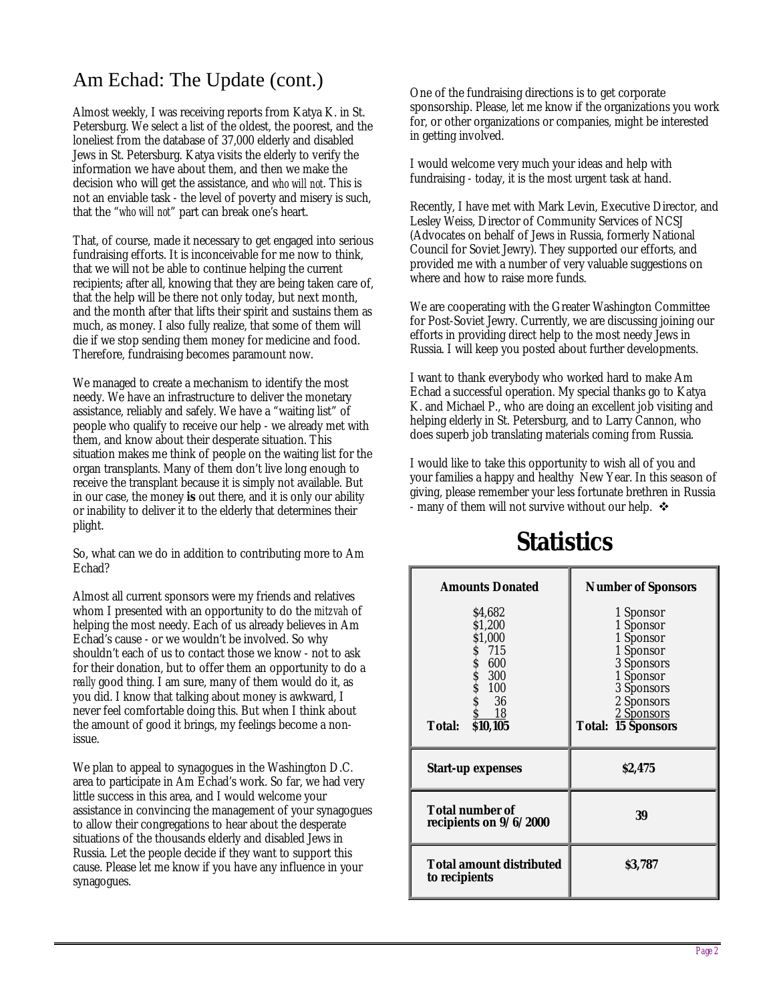## Am Echad: The Update (cont.)

Almost weekly, I was receiving reports from Katya K. in St. Petersburg. We select a list of the oldest, the poorest, and the loneliest from the database of 37,000 elderly and disabled Jews in St. Petersburg. Katya visits the elderly to verify the information we have about them, and then we make the decision who will get the assistance, and *who will not*. This is not an enviable task - the level of poverty and misery is such, that the "*who will not*" part can break one's heart.

That, of course, made it necessary to get engaged into serious fundraising efforts. It is inconceivable for me now to think, that we will not be able to continue helping the current recipients; after all, knowing that they are being taken care of, that the help will be there not only today, but next month, and the month after that lifts their spirit and sustains them as much, as money. I also fully realize, that some of them will die if we stop sending them money for medicine and food. Therefore, fundraising becomes paramount now.

We managed to create a mechanism to identify the most needy. We have an infrastructure to deliver the monetary assistance, reliably and safely. We have a "waiting list" of people who qualify to receive our help - we already met with them, and know about their desperate situation. This situation makes me think of people on the waiting list for the organ transplants. Many of them don't live long enough to receive the transplant because it is simply not available. But in our case, the money **is** out there, and it is only our ability or inability to deliver it to the elderly that determines their plight.

So, what can we do in addition to contributing more to Am Echad?

Almost all current sponsors were my friends and relatives whom I presented with an opportunity to do the *mitzvah* of helping the most needy. Each of us already believes in Am Echad's cause - or we wouldn't be involved. So why shouldn't each of us to contact those we know - not to ask for their donation, but to offer them an opportunity to do a *really* good thing. I am sure, many of them would do it, as you did. I know that talking about money is awkward, I never feel comfortable doing this. But when I think about the amount of good it brings, my feelings become a nonissue.

We plan to appeal to synagogues in the Washington D.C. area to participate in Am Echad's work. So far, we had very little success in this area, and I would welcome your assistance in convincing the management of your synagogues to allow their congregations to hear about the desperate situations of the thousands elderly and disabled Jews in Russia. Let the people decide if they want to support this cause. Please let me know if you have any influence in your synagogues.

One of the fundraising directions is to get corporate sponsorship. Please, let me know if the organizations you work for, or other organizations or companies, might be interested in getting involved.

I would welcome very much your ideas and help with fundraising - today, it is the most urgent task at hand.

Recently, I have met with Mark Levin, Executive Director, and Lesley Weiss, Director of Community Services of NCSJ (Advocates on behalf of Jews in Russia, formerly National Council for Soviet Jewry). They supported our efforts, and provided me with a number of very valuable suggestions on where and how to raise more funds.

We are cooperating with the Greater Washington Committee for Post-Soviet Jewry. Currently, we are discussing joining our efforts in providing direct help to the most needy Jews in Russia. I will keep you posted about further developments.

I want to thank everybody who worked hard to make Am Echad a successful operation. My special thanks go to Katya K. and Michael P., who are doing an excellent job visiting and helping elderly in St. Petersburg, and to Larry Cannon, who does superb job translating materials coming from Russia.

I would like to take this opportunity to wish all of you and your families a happy and healthy New Year. In this season of giving, please remember your less fortunate brethren in Russia - many of them will not survive without our help.  $\triangleleft$ 

# **Statistics**

| <b>Amounts Donated</b>                                                                                           | <b>Number of Sponsors</b>                                                                                                                          |
|------------------------------------------------------------------------------------------------------------------|----------------------------------------------------------------------------------------------------------------------------------------------------|
| \$4,682<br>\$1.200<br>\$1,000<br>\$715<br>s<br>S<br>- 600<br>300<br>\$<br>100<br>36<br>-18<br>\$10,105<br>Total: | 1 Sponsor<br>1 Sponsor<br>1 Sponsor<br>1 Sponsor<br>3 Sponsors<br>1 Sponsor<br>3 Sponsors<br>2 Sponsors<br>2 Sponsors<br><b>Total: 15 Sponsors</b> |
| <b>Start-up expenses</b>                                                                                         | \$2,475                                                                                                                                            |
| <b>Total number of</b><br>recipients on 9/6/2000                                                                 | 39                                                                                                                                                 |
| <b>Total amount distributed</b><br>to recipients                                                                 | \$3,787                                                                                                                                            |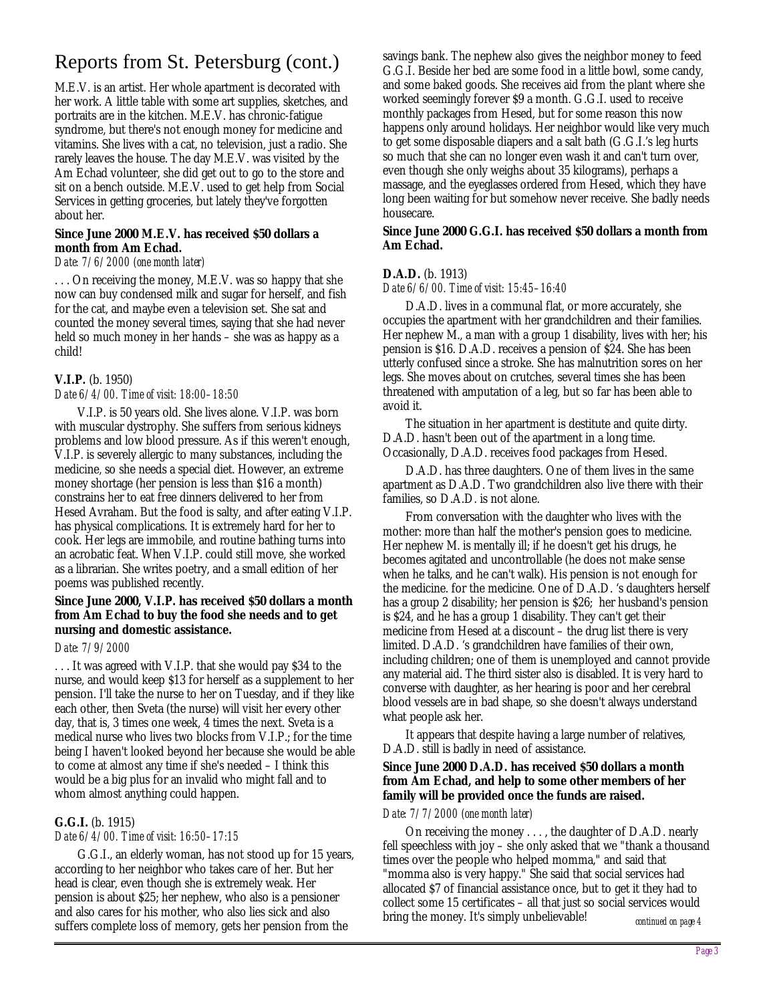## Reports from St. Petersburg (cont.)

M.E.V. is an artist. Her whole apartment is decorated with her work. A little table with some art supplies, sketches, and portraits are in the kitchen. M.E.V. has chronic-fatigue syndrome, but there's not enough money for medicine and vitamins. She lives with a cat, no television, just a radio. She rarely leaves the house. The day M.E.V. was visited by the Am Echad volunteer, she did get out to go to the store and sit on a bench outside. M.E.V. used to get help from Social Services in getting groceries, but lately they've forgotten about her.

#### **Since June 2000 M.E.V. has received \$50 dollars a month from Am Echad.**

#### *Date: 7/6/2000 (one month later)*

. . . On receiving the money, M.E.V. was so happy that she now can buy condensed milk and sugar for herself, and fish for the cat, and maybe even a television set. She sat and counted the money several times, saying that she had never held so much money in her hands – she was as happy as a child!

#### **V.I.P.** (b. 1950)

#### *Date 6/4/00. Time of visit: 18:00–18:50*

V.I.P. is 50 years old. She lives alone. V.I.P. was born with muscular dystrophy. She suffers from serious kidneys problems and low blood pressure. As if this weren't enough, V.I.P. is severely allergic to many substances, including the medicine, so she needs a special diet. However, an extreme money shortage (her pension is less than \$16 a month) constrains her to eat free dinners delivered to her from Hesed Avraham. But the food is salty, and after eating V.I.P. has physical complications. It is extremely hard for her to cook. Her legs are immobile, and routine bathing turns into an acrobatic feat. When V.I.P. could still move, she worked as a librarian. She writes poetry, and a small edition of her poems was published recently.

#### **Since June 2000, V.I.P. has received \$50 dollars a month from Am Echad to buy the food she needs and to get nursing and domestic assistance.**

#### *Date: 7/9/2000*

. . . It was agreed with V.I.P. that she would pay \$34 to the nurse, and would keep \$13 for herself as a supplement to her pension. I'll take the nurse to her on Tuesday, and if they like each other, then Sveta (the nurse) will visit her every other day, that is, 3 times one week, 4 times the next. Sveta is a medical nurse who lives two blocks from V.I.P.; for the time being I haven't looked beyond her because she would be able to come at almost any time if she's needed – I think this would be a big plus for an invalid who might fall and to whom almost anything could happen.

#### **G.G.I.** (b. 1915)

#### *Date 6/4/00. Time of visit: 16:50–17:15*

G.G.I., an elderly woman, has not stood up for 15 years, according to her neighbor who takes care of her. But her head is clear, even though she is extremely weak. Her pension is about \$25; her nephew, who also is a pensioner and also cares for his mother, who also lies sick and also suffers complete loss of memory, gets her pension from the

savings bank. The nephew also gives the neighbor money to feed G.G.I. Beside her bed are some food in a little bowl, some candy, and some baked goods. She receives aid from the plant where she worked seemingly forever \$9 a month. G.G.I. used to receive monthly packages from Hesed, but for some reason this now happens only around holidays. Her neighbor would like very much to get some disposable diapers and a salt bath (G.G.I.'s leg hurts so much that she can no longer even wash it and can't turn over, even though she only weighs about 35 kilograms), perhaps a massage, and the eyeglasses ordered from Hesed, which they have long been waiting for but somehow never receive. She badly needs housecare.

#### **Since June 2000 G.G.I. has received \$50 dollars a month from Am Echad.**

#### **D.A.D.** (b. 1913)

#### *Date 6/6/00. Time of visit: 15:45–16:40*

D.A.D. lives in a communal flat, or more accurately, she occupies the apartment with her grandchildren and their families. Her nephew M., a man with a group 1 disability, lives with her; his pension is \$16. D.A.D. receives a pension of \$24. She has been utterly confused since a stroke. She has malnutrition sores on her legs. She moves about on crutches, several times she has been threatened with amputation of a leg, but so far has been able to avoid it.

The situation in her apartment is destitute and quite dirty. D.A.D. hasn't been out of the apartment in a long time. Occasionally, D.A.D. receives food packages from Hesed.

D.A.D. has three daughters. One of them lives in the same apartment as D.A.D. Two grandchildren also live there with their families, so D.A.D. is not alone.

From conversation with the daughter who lives with the mother: more than half the mother's pension goes to medicine. Her nephew M. is mentally ill; if he doesn't get his drugs, he becomes agitated and uncontrollable (he does not make sense when he talks, and he can't walk). His pension is not enough for the medicine. for the medicine. One of D.A.D. 's daughters herself has a group 2 disability; her pension is \$26; her husband's pension is \$24, and he has a group 1 disability. They can't get their medicine from Hesed at a discount – the drug list there is very limited. D.A.D. 's grandchildren have families of their own, including children; one of them is unemployed and cannot provide any material aid. The third sister also is disabled. It is very hard to converse with daughter, as her hearing is poor and her cerebral blood vessels are in bad shape, so she doesn't always understand what people ask her.

It appears that despite having a large number of relatives, D.A.D. still is badly in need of assistance.

#### **Since June 2000 D.A.D. has received \$50 dollars a month from Am Echad, and help to some other members of her family will be provided once the funds are raised.**

#### *Date: 7/7/2000 (one month later)*

On receiving the money . . . , the daughter of D.A.D. nearly fell speechless with joy – she only asked that we "thank a thousand times over the people who helped momma," and said that "momma also is very happy." She said that social services had allocated \$7 of financial assistance once, but to get it they had to collect some 15 certificates – all that just so social services would bring the money. It's simply unbelievable! *continued on page 4*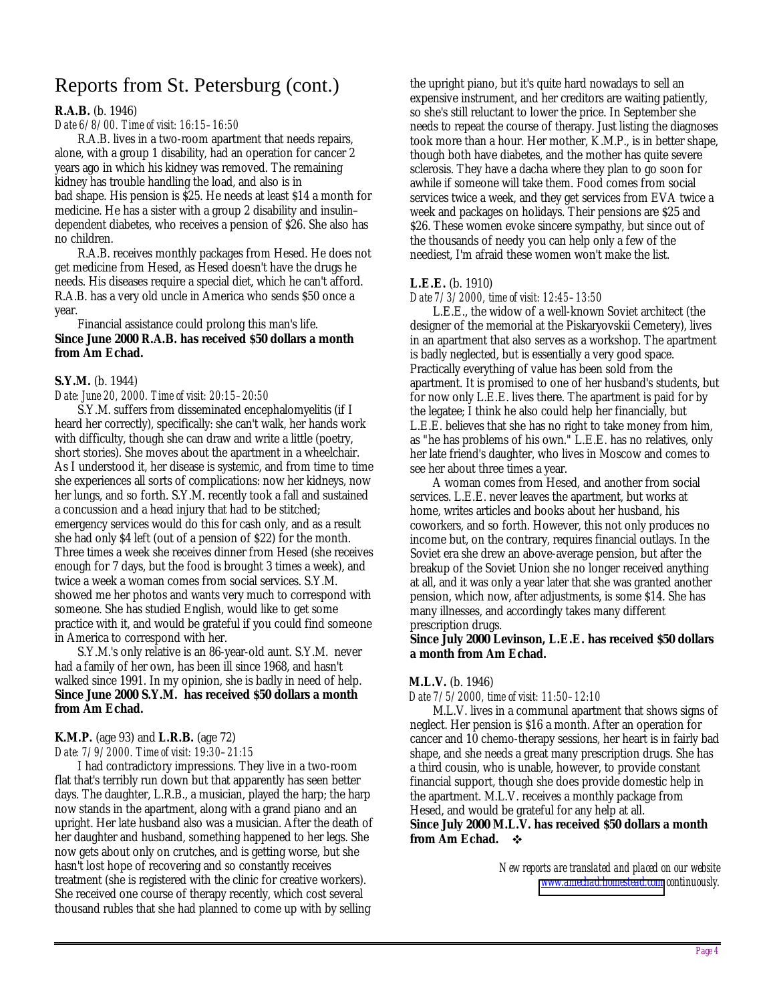## Reports from St. Petersburg (cont.)

#### **R.A.B.** (b. 1946)

#### *Date 6/8/00. Time of visit: 16:15–16:50*

R.A.B. lives in a two-room apartment that needs repairs, alone, with a group 1 disability, had an operation for cancer 2 years ago in which his kidney was removed. The remaining kidney has trouble handling the load, and also is in bad shape. His pension is \$25. He needs at least \$14 a month for medicine. He has a sister with a group 2 disability and insulin– dependent diabetes, who receives a pension of \$26. She also has no children.

R.A.B. receives monthly packages from Hesed. He does not get medicine from Hesed, as Hesed doesn't have the drugs he needs. His diseases require a special diet, which he can't afford. R.A.B. has a very old uncle in America who sends \$50 once a year.

Financial assistance could prolong this man's life. **Since June 2000 R.A.B. has received \$50 dollars a month from Am Echad.**

#### **S.Y.M.** (b. 1944)

*Date: June 20, 2000. Time of visit: 20:15–20:50*

S.Y.M. suffers from disseminated encephalomyelitis (if I heard her correctly), specifically: she can't walk, her hands work with difficulty, though she can draw and write a little (poetry, short stories). She moves about the apartment in a wheelchair. As I understood it, her disease is systemic, and from time to time she experiences all sorts of complications: now her kidneys, now her lungs, and so forth. S.Y.M. recently took a fall and sustained a concussion and a head injury that had to be stitched; emergency services would do this for cash only, and as a result she had only \$4 left (out of a pension of \$22) for the month. Three times a week she receives dinner from Hesed (she receives enough for 7 days, but the food is brought 3 times a week), and twice a week a woman comes from social services. S.Y.M. showed me her photos and wants very much to correspond with someone. She has studied English, would like to get some practice with it, and would be grateful if you could find someone in America to correspond with her.

S.Y.M.'s only relative is an 86-year-old aunt. S.Y.M. never had a family of her own, has been ill since 1968, and hasn't walked since 1991. In my opinion, she is badly in need of help. **Since June 2000 S.Y.M. has received \$50 dollars a month from Am Echad.**

### **K.M.P.** (age 93) and **L.R.B.** (age 72)

*Date: 7/9/2000. Time of visit: 19:30–21:15*

I had contradictory impressions. They live in a two-room flat that's terribly run down but that apparently has seen better days. The daughter, L.R.B., a musician, played the harp; the harp now stands in the apartment, along with a grand piano and an upright. Her late husband also was a musician. After the death of her daughter and husband, something happened to her legs. She now gets about only on crutches, and is getting worse, but she hasn't lost hope of recovering and so constantly receives treatment (she is registered with the clinic for creative workers). She received one course of therapy recently, which cost several thousand rubles that she had planned to come up with by selling

the upright piano, but it's quite hard nowadays to sell an expensive instrument, and her creditors are waiting patiently, so she's still reluctant to lower the price. In September she needs to repeat the course of therapy. Just listing the diagnoses took more than a hour. Her mother, K.M.P., is in better shape, though both have diabetes, and the mother has quite severe sclerosis. They have a dacha where they plan to go soon for awhile if someone will take them. Food comes from social services twice a week, and they get services from EVA twice a week and packages on holidays. Their pensions are \$25 and \$26. These women evoke sincere sympathy, but since out of the thousands of needy you can help only a few of the neediest, I'm afraid these women won't make the list.

#### **L.E.E.** (b. 1910)

#### *Date 7/3/2000, time of visit: 12:45–13:50*

L.E.E., the widow of a well-known Soviet architect (the designer of the memorial at the Piskaryovskii Cemetery), lives in an apartment that also serves as a workshop. The apartment is badly neglected, but is essentially a very good space. Practically everything of value has been sold from the apartment. It is promised to one of her husband's students, but for now only L.E.E. lives there. The apartment is paid for by the legatee; I think he also could help her financially, but L.E.E. believes that she has no right to take money from him, as "he has problems of his own." L.E.E. has no relatives, only her late friend's daughter, who lives in Moscow and comes to see her about three times a year.

A woman comes from Hesed, and another from social services. L.E.E. never leaves the apartment, but works at home, writes articles and books about her husband, his coworkers, and so forth. However, this not only produces no income but, on the contrary, requires financial outlays. In the Soviet era she drew an above-average pension, but after the breakup of the Soviet Union she no longer received anything at all, and it was only a year later that she was granted another pension, which now, after adjustments, is some \$14. She has many illnesses, and accordingly takes many different prescription drugs.

#### **Since July 2000 Levinson, L.E.E. has received \$50 dollars a month from Am Echad.**

#### **M.L.V.** (b. 1946)

*Date 7/5/2000, time of visit: 11:50–12:10*

M.L.V. lives in a communal apartment that shows signs of neglect. Her pension is \$16 a month. After an operation for cancer and 10 chemo-therapy sessions, her heart is in fairly bad shape, and she needs a great many prescription drugs. She has a third cousin, who is unable, however, to provide constant financial support, though she does provide domestic help in the apartment. M.L.V. receives a monthly package from Hesed, and would be grateful for any help at all. **Since July 2000 M.L.V. has received \$50 dollars a month from Am Echad.** !

> *New reports are translated and placed on our website [www.amechad.homestead.com](http://www.amechad.homestead.com/) continuously.*